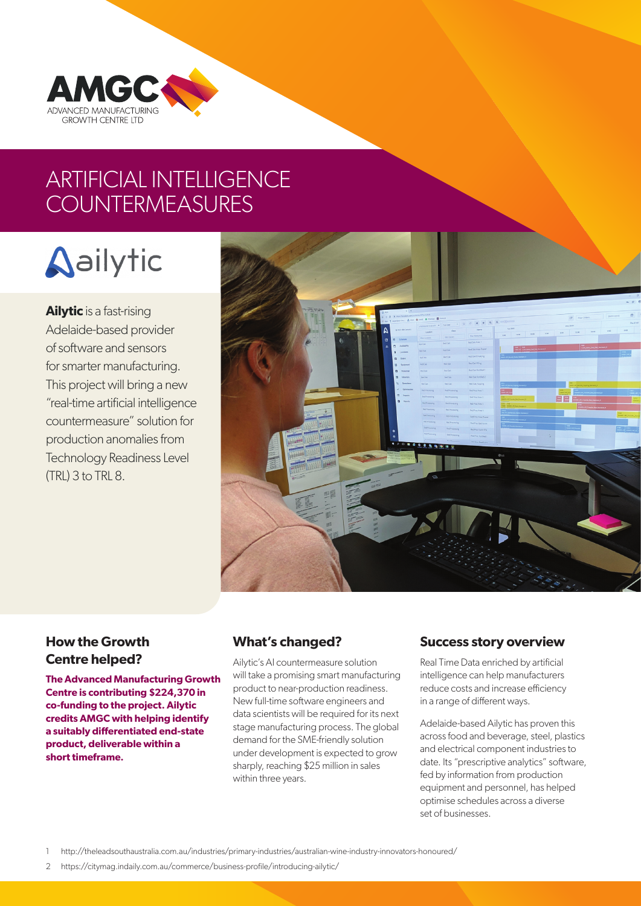

## ARTIFICIAL INTELLIGENCE **COUNTERMEASURES**

# **Aailytic**

**Ailytic** is a fast-rising Adelaide-based provider of software and sensors for smarter manufacturing. This project will bring a new "real-time artificial intelligence countermeasure" solution for production anomalies from Technology Readiness Level (TRL) 3 to TRL 8.



### **How the Growth Centre helped?**

**The Advanced Manufacturing Growth Centre is contributing \$224,370 in co-funding to the project. Ailytic credits AMGC with helping identify a suitably differentiated end-state product, deliverable within a short timeframe.**

### **What's changed?**

Ailytic's AI countermeasure solution will take a promising smart manufacturing product to near-production readiness. New full-time software engineers and data scientists will be required for its next stage manufacturing process. The global demand for the SME-friendly solution under development is expected to grow sharply, reaching \$25 million in sales within three years.

### **Success story overview**

Real Time Data enriched by artificial intelligence can help manufacturers reduce costs and increase efficiency in a range of different ways.

Adelaide-based Ailytic has proven this across food and beverage, steel, plastics and electrical component industries to date. Its "prescriptive analytics" software, fed by information from production equipment and personnel, has helped optimise schedules across a diverse set of businesses.

1 [http://theleadsouthaustralia.com.au/industries/primary-industries/australian-wine-industry-innovators-honoured/](http://theleadsouthaustralia.com.au/industries/primary-industries/australian-wine-industry-innovator)

2 <https://citymag.indaily.com.au/commerce/business-profile/introducing-ailytic/>